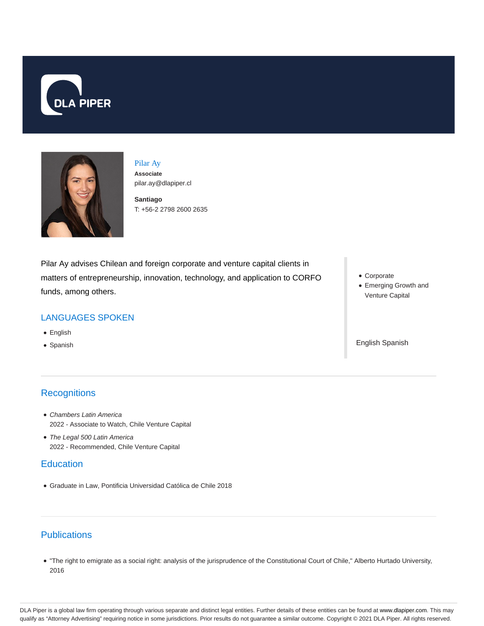



Pilar Ay **Associate** pilar.ay@dlapiper.cl

**Santiago** T: +56-2 2798 2600 2635

Pilar Ay advises Chilean and foreign corporate and venture capital clients in matters of entrepreneurship, innovation, technology, and application to CORFO funds, among others.

## LANGUAGES SPOKEN

- English
- Spanish

# **Recognitions**

- Chambers Latin America 2022 - Associate to Watch, Chile Venture Capital
- The Legal 500 Latin America 2022 - Recommended, Chile Venture Capital

## **Education**

Graduate in Law, Pontificia Universidad Católica de Chile 2018

## **Publications**

"The right to emigrate as a social right: analysis of the jurisprudence of the Constitutional Court of Chile," Alberto Hurtado University, 2016

- Corporate
- Emerging Growth and Venture Capital

English Spanish

DLA Piper is a global law firm operating through various separate and distinct legal entities. Further details of these entities can be found at www.dlapiper.com. This may qualify as "Attorney Advertising" requiring notice in some jurisdictions. Prior results do not guarantee a similar outcome. Copyright © 2021 DLA Piper. All rights reserved.